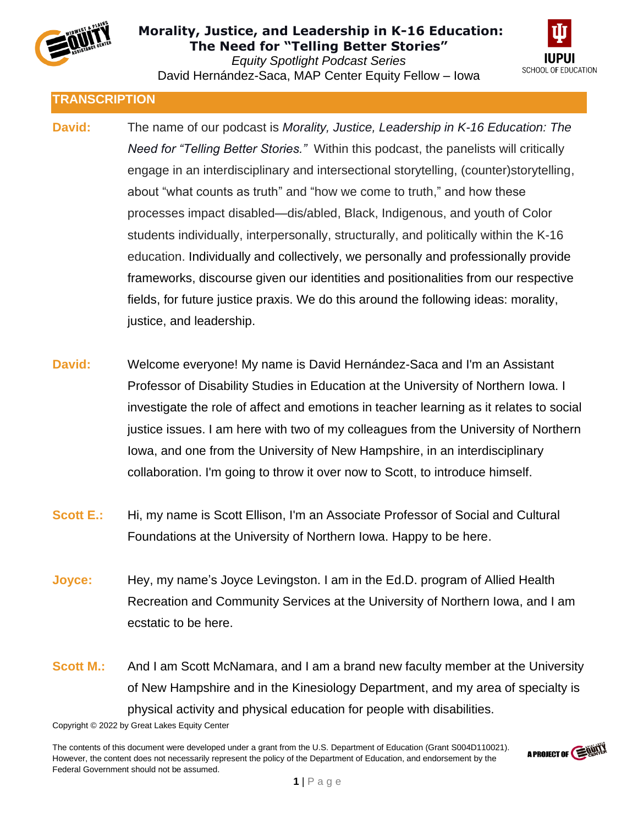



**TRANSCRIPTION**

- **David:** The name of our podcast is *Morality, Justice, Leadership in K-16 Education: The Need for "Telling Better Stories."* Within this podcast, the panelists will critically engage in an interdisciplinary and intersectional storytelling, (counter)storytelling, about "what counts as truth" and "how we come to truth," and how these processes impact disabled—dis/abled, Black, Indigenous, and youth of Color students individually, interpersonally, structurally, and politically within the K-16 education. Individually and collectively, we personally and professionally provide frameworks, discourse given our identities and positionalities from our respective fields, for future justice praxis. We do this around the following ideas: morality, justice, and leadership.
- **David:** Welcome everyone! My name is David Hernández-Saca and I'm an Assistant Professor of Disability Studies in Education at the University of Northern Iowa. I investigate the role of affect and emotions in teacher learning as it relates to social justice issues. I am here with two of my colleagues from the University of Northern Iowa, and one from the University of New Hampshire, in an interdisciplinary collaboration. I'm going to throw it over now to Scott, to introduce himself.
- **Scott E.:** Hi, my name is Scott Ellison, I'm an Associate Professor of Social and Cultural Foundations at the University of Northern Iowa. Happy to be here.
- **Joyce:** Hey, my name's Joyce Levingston. I am in the Ed.D. program of Allied Health Recreation and Community Services at the University of Northern Iowa, and I am ecstatic to be here.
- **Scott M.:** And I am Scott McNamara, and I am a brand new faculty member at the University of New Hampshire and in the Kinesiology Department, and my area of specialty is physical activity and physical education for people with disabilities.

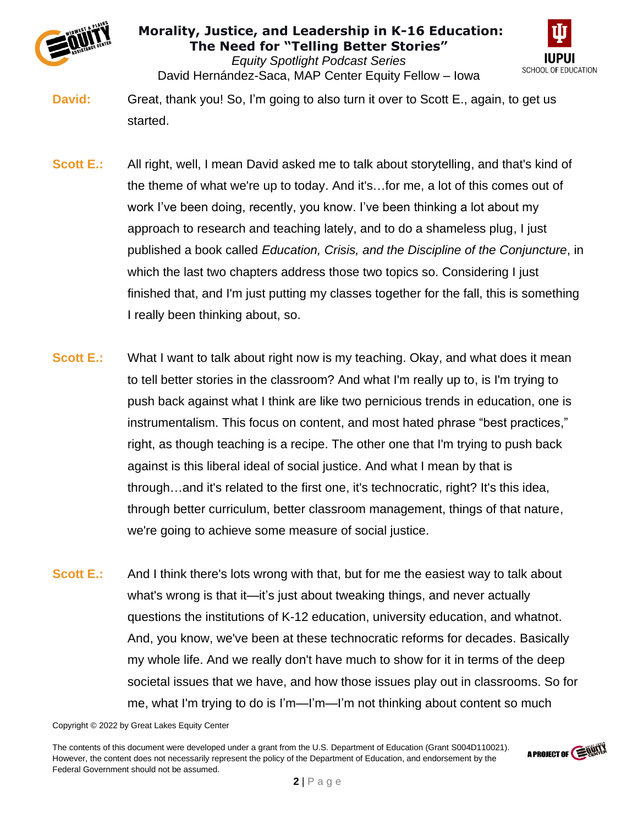



*Equity Spotlight Podcast Series* David Hernández-Saca, MAP Center Equity Fellow – Iowa

**David:** Great, thank you! So, I'm going to also turn it over to Scott E., again, to get us started.

- **Scott E.:** All right, well, I mean David asked me to talk about storytelling, and that's kind of the theme of what we're up to today. And it's…for me, a lot of this comes out of work I've been doing, recently, you know. I've been thinking a lot about my approach to research and teaching lately, and to do a shameless plug, I just published a book called *Education, Crisis, and the Discipline of the Conjuncture*, in which the last two chapters address those two topics so. Considering I just finished that, and I'm just putting my classes together for the fall, this is something I really been thinking about, so.
- **Scott E.:** What I want to talk about right now is my teaching. Okay, and what does it mean to tell better stories in the classroom? And what I'm really up to, is I'm trying to push back against what I think are like two pernicious trends in education, one is instrumentalism. This focus on content, and most hated phrase "best practices," right, as though teaching is a recipe. The other one that I'm trying to push back against is this liberal ideal of social justice. And what I mean by that is through…and it's related to the first one, it's technocratic, right? It's this idea, through better curriculum, better classroom management, things of that nature, we're going to achieve some measure of social justice.
- **Scott E.:** And I think there's lots wrong with that, but for me the easiest way to talk about what's wrong is that it—it's just about tweaking things, and never actually questions the institutions of K-12 education, university education, and whatnot. And, you know, we've been at these technocratic reforms for decades. Basically my whole life. And we really don't have much to show for it in terms of the deep societal issues that we have, and how those issues play out in classrooms. So for me, what I'm trying to do is I'm—I'm—I'm not thinking about content so much

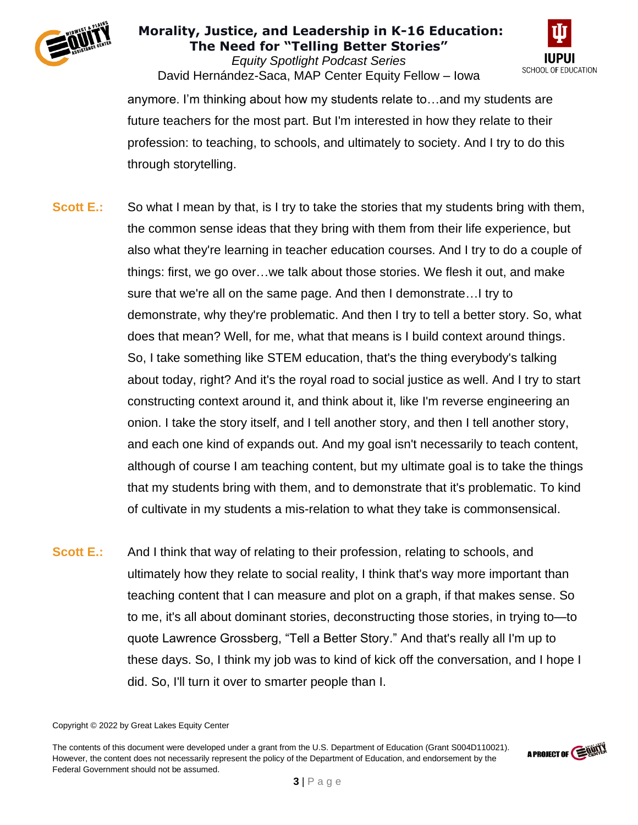

*Equity Spotlight Podcast Series* David Hernández-Saca, MAP Center Equity Fellow – Iowa



anymore. I'm thinking about how my students relate to…and my students are future teachers for the most part. But I'm interested in how they relate to their profession: to teaching, to schools, and ultimately to society. And I try to do this through storytelling.

- **Scott E.:** So what I mean by that, is I try to take the stories that my students bring with them, the common sense ideas that they bring with them from their life experience, but also what they're learning in teacher education courses. And I try to do a couple of things: first, we go over…we talk about those stories. We flesh it out, and make sure that we're all on the same page. And then I demonstrate…I try to demonstrate, why they're problematic. And then I try to tell a better story. So, what does that mean? Well, for me, what that means is I build context around things. So, I take something like STEM education, that's the thing everybody's talking about today, right? And it's the royal road to social justice as well. And I try to start constructing context around it, and think about it, like I'm reverse engineering an onion. I take the story itself, and I tell another story, and then I tell another story, and each one kind of expands out. And my goal isn't necessarily to teach content, although of course I am teaching content, but my ultimate goal is to take the things that my students bring with them, and to demonstrate that it's problematic. To kind of cultivate in my students a mis-relation to what they take is commonsensical.
- **Scott E.:** And I think that way of relating to their profession, relating to schools, and ultimately how they relate to social reality, I think that's way more important than teaching content that I can measure and plot on a graph, if that makes sense. So to me, it's all about dominant stories, deconstructing those stories, in trying to—to quote Lawrence Grossberg, "Tell a Better Story." And that's really all I'm up to these days. So, I think my job was to kind of kick off the conversation, and I hope I did. So, I'll turn it over to smarter people than I.

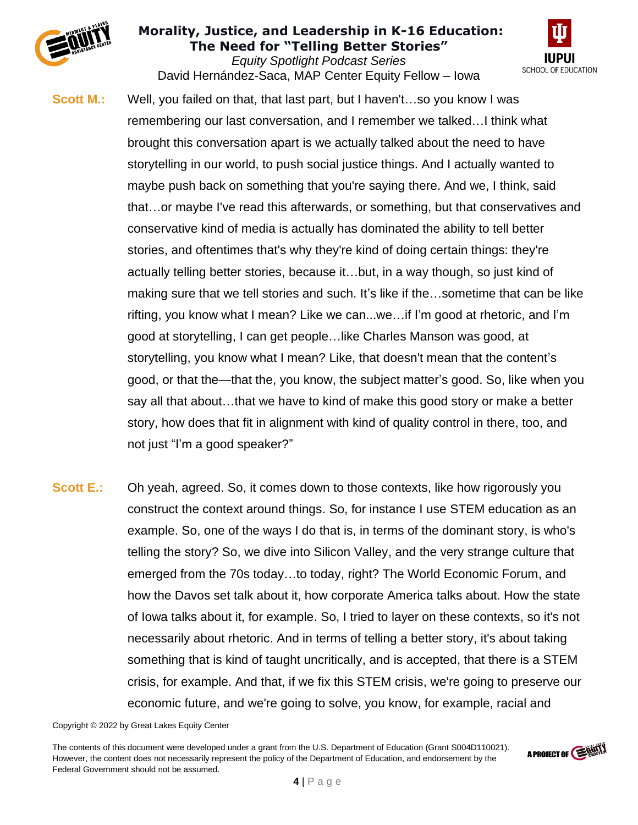

*Equity Spotlight Podcast Series* David Hernández-Saca, MAP Center Equity Fellow – Iowa



- **Scott M.:** Well, you failed on that, that last part, but I haven't…so you know I was remembering our last conversation, and I remember we talked…I think what brought this conversation apart is we actually talked about the need to have storytelling in our world, to push social justice things. And I actually wanted to maybe push back on something that you're saying there. And we, I think, said that…or maybe I've read this afterwards, or something, but that conservatives and conservative kind of media is actually has dominated the ability to tell better stories, and oftentimes that's why they're kind of doing certain things: they're actually telling better stories, because it…but, in a way though, so just kind of making sure that we tell stories and such. It's like if the…sometime that can be like rifting, you know what I mean? Like we can...we…if I'm good at rhetoric, and I'm good at storytelling, I can get people…like Charles Manson was good, at storytelling, you know what I mean? Like, that doesn't mean that the content's good, or that the—that the, you know, the subject matter's good. So, like when you say all that about…that we have to kind of make this good story or make a better story, how does that fit in alignment with kind of quality control in there, too, and not just "I'm a good speaker?"
- **Scott E.:** Oh yeah, agreed. So, it comes down to those contexts, like how rigorously you construct the context around things. So, for instance I use STEM education as an example. So, one of the ways I do that is, in terms of the dominant story, is who's telling the story? So, we dive into Silicon Valley, and the very strange culture that emerged from the 70s today…to today, right? The World Economic Forum, and how the Davos set talk about it, how corporate America talks about. How the state of Iowa talks about it, for example. So, I tried to layer on these contexts, so it's not necessarily about rhetoric. And in terms of telling a better story, it's about taking something that is kind of taught uncritically, and is accepted, that there is a STEM crisis, for example. And that, if we fix this STEM crisis, we're going to preserve our economic future, and we're going to solve, you know, for example, racial and

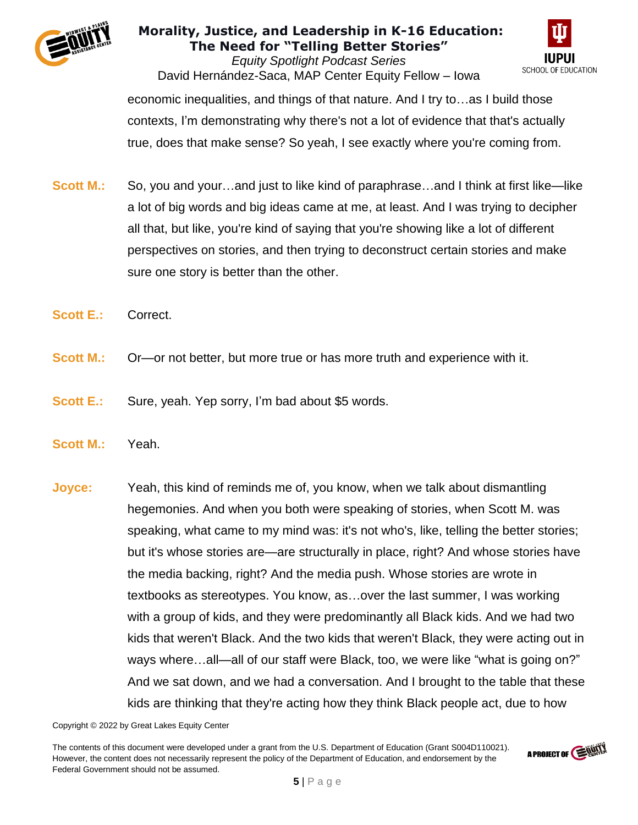

*Equity Spotlight Podcast Series* David Hernández-Saca, MAP Center Equity Fellow – Iowa



economic inequalities, and things of that nature. And I try to…as I build those contexts, I'm demonstrating why there's not a lot of evidence that that's actually true, does that make sense? So yeah, I see exactly where you're coming from.

- **Scott M.:** So, you and your…and just to like kind of paraphrase…and I think at first like—like a lot of big words and big ideas came at me, at least. And I was trying to decipher all that, but like, you're kind of saying that you're showing like a lot of different perspectives on stories, and then trying to deconstruct certain stories and make sure one story is better than the other.
- **Scott E.:** Correct.
- **Scott M.:** Or—or not better, but more true or has more truth and experience with it.
- **Scott E.:** Sure, yeah. Yep sorry, I'm bad about \$5 words.
- **Scott M.:** Yeah.
- **Joyce:** Yeah, this kind of reminds me of, you know, when we talk about dismantling hegemonies. And when you both were speaking of stories, when Scott M. was speaking, what came to my mind was: it's not who's, like, telling the better stories; but it's whose stories are—are structurally in place, right? And whose stories have the media backing, right? And the media push. Whose stories are wrote in textbooks as stereotypes. You know, as…over the last summer, I was working with a group of kids, and they were predominantly all Black kids. And we had two kids that weren't Black. And the two kids that weren't Black, they were acting out in ways where…all—all of our staff were Black, too, we were like "what is going on?" And we sat down, and we had a conversation. And I brought to the table that these kids are thinking that they're acting how they think Black people act, due to how

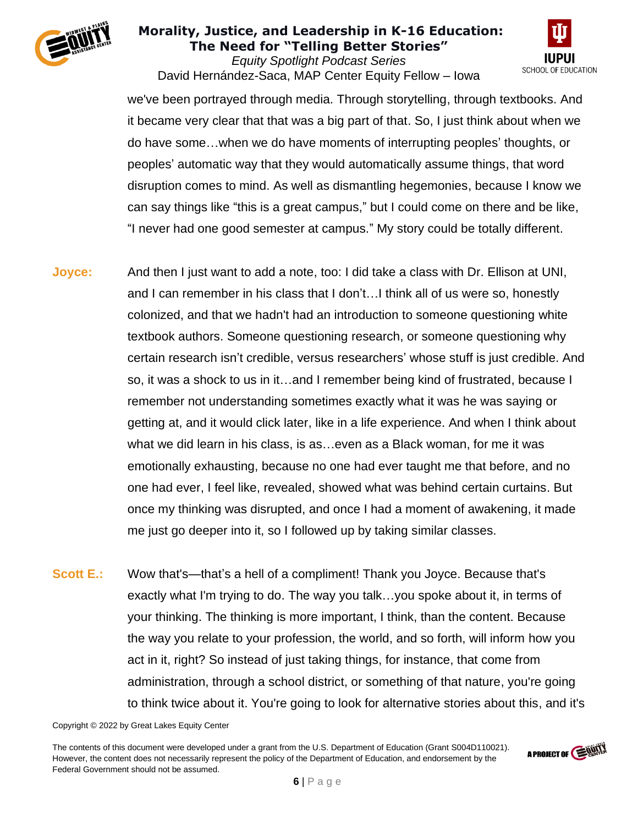

*Equity Spotlight Podcast Series* David Hernández-Saca, MAP Center Equity Fellow – Iowa



we've been portrayed through media. Through storytelling, through textbooks. And it became very clear that that was a big part of that. So, I just think about when we do have some…when we do have moments of interrupting peoples' thoughts, or peoples' automatic way that they would automatically assume things, that word disruption comes to mind. As well as dismantling hegemonies, because I know we can say things like "this is a great campus," but I could come on there and be like, "I never had one good semester at campus." My story could be totally different.

- **Joyce:** And then I just want to add a note, too: I did take a class with Dr. Ellison at UNI, and I can remember in his class that I don't…I think all of us were so, honestly colonized, and that we hadn't had an introduction to someone questioning white textbook authors. Someone questioning research, or someone questioning why certain research isn't credible, versus researchers' whose stuff is just credible. And so, it was a shock to us in it…and I remember being kind of frustrated, because I remember not understanding sometimes exactly what it was he was saying or getting at, and it would click later, like in a life experience. And when I think about what we did learn in his class, is as…even as a Black woman, for me it was emotionally exhausting, because no one had ever taught me that before, and no one had ever, I feel like, revealed, showed what was behind certain curtains. But once my thinking was disrupted, and once I had a moment of awakening, it made me just go deeper into it, so I followed up by taking similar classes.
- **Scott E.:** Wow that's—that's a hell of a compliment! Thank you Joyce. Because that's exactly what I'm trying to do. The way you talk…you spoke about it, in terms of your thinking. The thinking is more important, I think, than the content. Because the way you relate to your profession, the world, and so forth, will inform how you act in it, right? So instead of just taking things, for instance, that come from administration, through a school district, or something of that nature, you're going to think twice about it. You're going to look for alternative stories about this, and it's

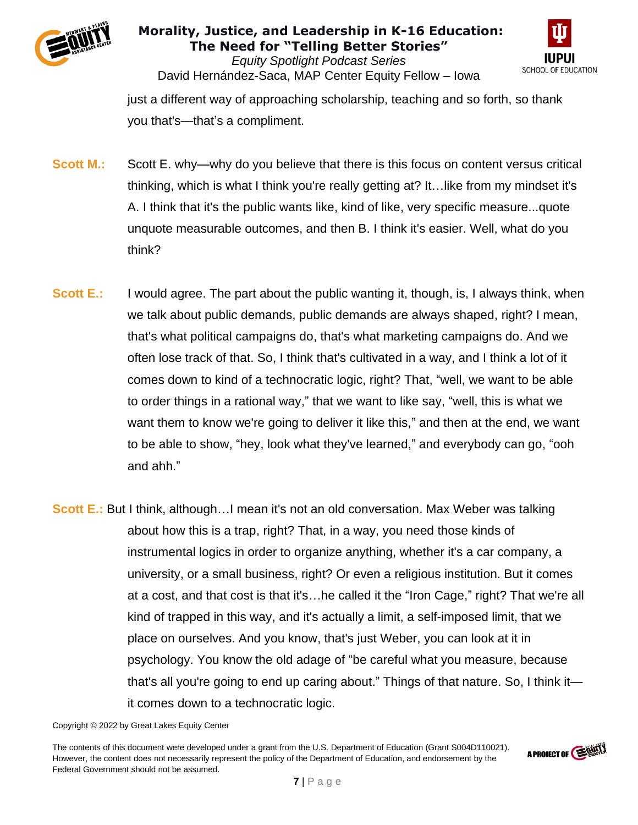



*Equity Spotlight Podcast Series* David Hernández-Saca, MAP Center Equity Fellow – Iowa

just a different way of approaching scholarship, teaching and so forth, so thank you that's—that's a compliment.

- **Scott M.:** Scott E. why—why do you believe that there is this focus on content versus critical thinking, which is what I think you're really getting at? It…like from my mindset it's A. I think that it's the public wants like, kind of like, very specific measure...quote unquote measurable outcomes, and then B. I think it's easier. Well, what do you think?
- **Scott E.:** I would agree. The part about the public wanting it, though, is, I always think, when we talk about public demands, public demands are always shaped, right? I mean, that's what political campaigns do, that's what marketing campaigns do. And we often lose track of that. So, I think that's cultivated in a way, and I think a lot of it comes down to kind of a technocratic logic, right? That, "well, we want to be able to order things in a rational way," that we want to like say, "well, this is what we want them to know we're going to deliver it like this," and then at the end, we want to be able to show, "hey, look what they've learned," and everybody can go, "ooh and ahh."
- **Scott E.:** But I think, although...I mean it's not an old conversation. Max Weber was talking about how this is a trap, right? That, in a way, you need those kinds of instrumental logics in order to organize anything, whether it's a car company, a university, or a small business, right? Or even a religious institution. But it comes at a cost, and that cost is that it's…he called it the "Iron Cage," right? That we're all kind of trapped in this way, and it's actually a limit, a self-imposed limit, that we place on ourselves. And you know, that's just Weber, you can look at it in psychology. You know the old adage of "be careful what you measure, because that's all you're going to end up caring about." Things of that nature. So, I think it it comes down to a technocratic logic.



Copyright © 2022 by Great Lakes Equity Center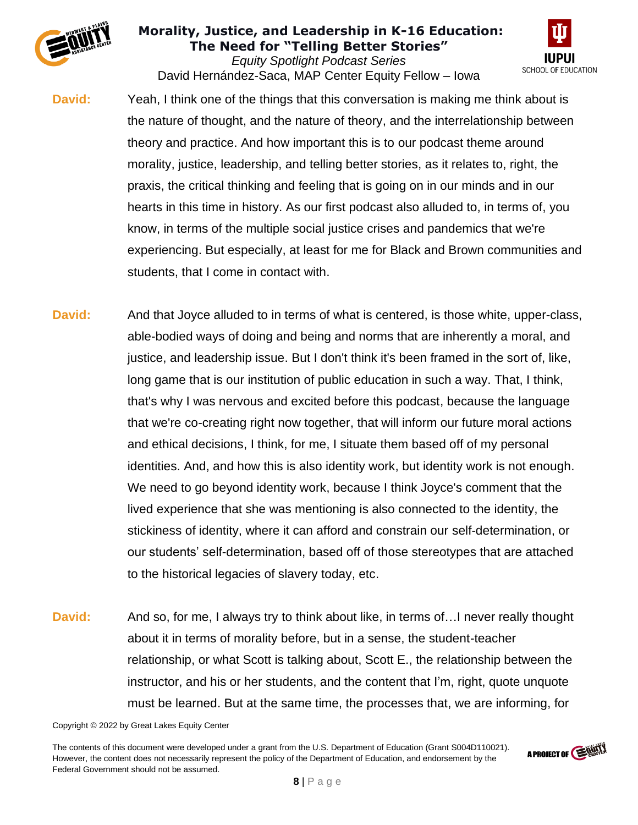

*Equity Spotlight Podcast Series* David Hernández-Saca, MAP Center Equity Fellow – Iowa



- **David:** Yeah, I think one of the things that this conversation is making me think about is the nature of thought, and the nature of theory, and the interrelationship between theory and practice. And how important this is to our podcast theme around morality, justice, leadership, and telling better stories, as it relates to, right, the praxis, the critical thinking and feeling that is going on in our minds and in our hearts in this time in history. As our first podcast also alluded to, in terms of, you know, in terms of the multiple social justice crises and pandemics that we're experiencing. But especially, at least for me for Black and Brown communities and students, that I come in contact with.
- **David:** And that Joyce alluded to in terms of what is centered, is those white, upper-class, able-bodied ways of doing and being and norms that are inherently a moral, and justice, and leadership issue. But I don't think it's been framed in the sort of, like, long game that is our institution of public education in such a way. That, I think, that's why I was nervous and excited before this podcast, because the language that we're co-creating right now together, that will inform our future moral actions and ethical decisions, I think, for me, I situate them based off of my personal identities. And, and how this is also identity work, but identity work is not enough. We need to go beyond identity work, because I think Joyce's comment that the lived experience that she was mentioning is also connected to the identity, the stickiness of identity, where it can afford and constrain our self-determination, or our students' self-determination, based off of those stereotypes that are attached to the historical legacies of slavery today, etc.
- **David:** And so, for me, I always try to think about like, in terms of... I never really thought about it in terms of morality before, but in a sense, the student-teacher relationship, or what Scott is talking about, Scott E., the relationship between the instructor, and his or her students, and the content that I'm, right, quote unquote must be learned. But at the same time, the processes that, we are informing, for

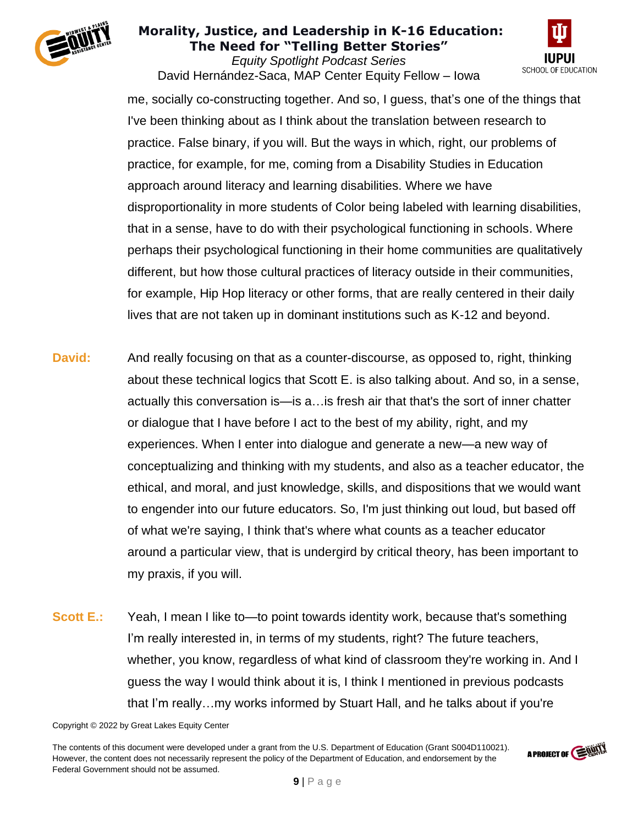

*Equity Spotlight Podcast Series* David Hernández-Saca, MAP Center Equity Fellow – Iowa



me, socially co-constructing together. And so, I guess, that's one of the things that I've been thinking about as I think about the translation between research to practice. False binary, if you will. But the ways in which, right, our problems of practice, for example, for me, coming from a Disability Studies in Education approach around literacy and learning disabilities. Where we have disproportionality in more students of Color being labeled with learning disabilities, that in a sense, have to do with their psychological functioning in schools. Where perhaps their psychological functioning in their home communities are qualitatively different, but how those cultural practices of literacy outside in their communities, for example, Hip Hop literacy or other forms, that are really centered in their daily lives that are not taken up in dominant institutions such as K-12 and beyond.

- **David:** And really focusing on that as a counter-discourse, as opposed to, right, thinking about these technical logics that Scott E. is also talking about. And so, in a sense, actually this conversation is—is a…is fresh air that that's the sort of inner chatter or dialogue that I have before I act to the best of my ability, right, and my experiences. When I enter into dialogue and generate a new—a new way of conceptualizing and thinking with my students, and also as a teacher educator, the ethical, and moral, and just knowledge, skills, and dispositions that we would want to engender into our future educators. So, I'm just thinking out loud, but based off of what we're saying, I think that's where what counts as a teacher educator around a particular view, that is undergird by critical theory, has been important to my praxis, if you will.
- **Scott E.:** Yeah, I mean I like to—to point towards identity work, because that's something I'm really interested in, in terms of my students, right? The future teachers, whether, you know, regardless of what kind of classroom they're working in. And I guess the way I would think about it is, I think I mentioned in previous podcasts that I'm really…my works informed by Stuart Hall, and he talks about if you're

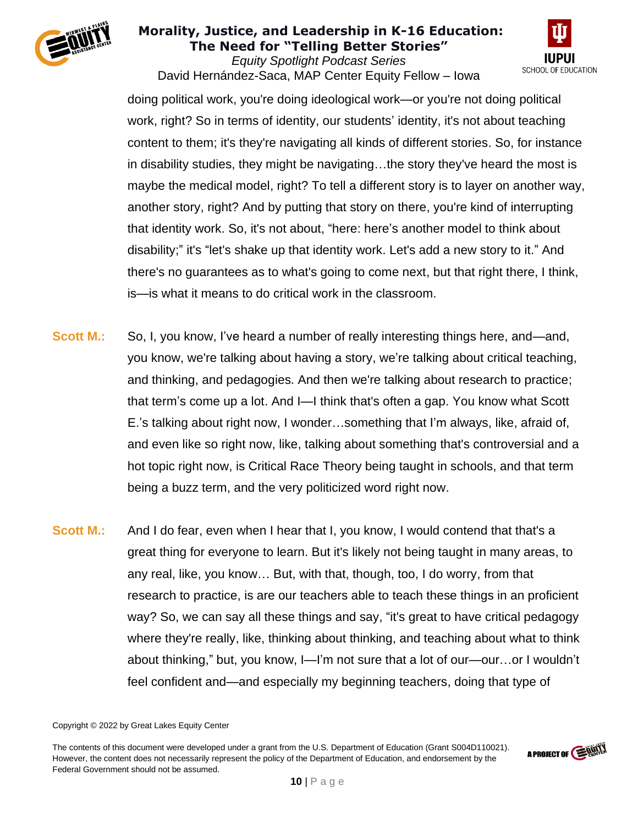

*Equity Spotlight Podcast Series* David Hernández-Saca, MAP Center Equity Fellow – Iowa



doing political work, you're doing ideological work—or you're not doing political work, right? So in terms of identity, our students' identity, it's not about teaching content to them; it's they're navigating all kinds of different stories. So, for instance in disability studies, they might be navigating…the story they've heard the most is maybe the medical model, right? To tell a different story is to layer on another way, another story, right? And by putting that story on there, you're kind of interrupting that identity work. So, it's not about, "here: here's another model to think about disability;" it's "let's shake up that identity work. Let's add a new story to it." And there's no guarantees as to what's going to come next, but that right there, I think, is—is what it means to do critical work in the classroom.

- **Scott M.:** So, I, you know, I've heard a number of really interesting things here, and—and, you know, we're talking about having a story, we're talking about critical teaching, and thinking, and pedagogies. And then we're talking about research to practice; that term's come up a lot. And I—I think that's often a gap. You know what Scott E.'s talking about right now, I wonder…something that I'm always, like, afraid of, and even like so right now, like, talking about something that's controversial and a hot topic right now, is Critical Race Theory being taught in schools, and that term being a buzz term, and the very politicized word right now.
- **Scott M.:** And I do fear, even when I hear that I, you know, I would contend that that's a great thing for everyone to learn. But it's likely not being taught in many areas, to any real, like, you know… But, with that, though, too, I do worry, from that research to practice, is are our teachers able to teach these things in an proficient way? So, we can say all these things and say, "it's great to have critical pedagogy where they're really, like, thinking about thinking, and teaching about what to think about thinking," but, you know, I—I'm not sure that a lot of our—our…or I wouldn't feel confident and—and especially my beginning teachers, doing that type of

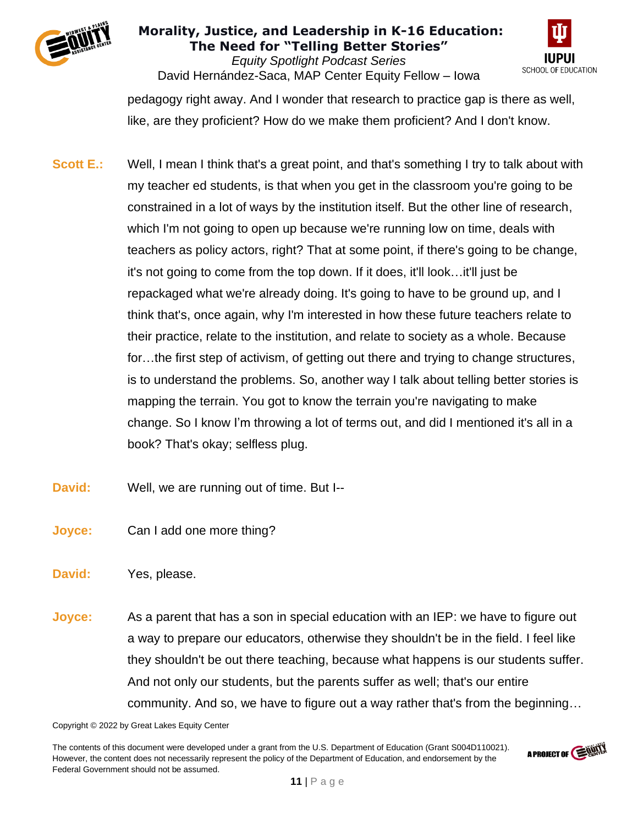

*Equity Spotlight Podcast Series* David Hernández-Saca, MAP Center Equity Fellow – Iowa



pedagogy right away. And I wonder that research to practice gap is there as well, like, are they proficient? How do we make them proficient? And I don't know.

- **Scott E.:** Well, I mean I think that's a great point, and that's something I try to talk about with my teacher ed students, is that when you get in the classroom you're going to be constrained in a lot of ways by the institution itself. But the other line of research, which I'm not going to open up because we're running low on time, deals with teachers as policy actors, right? That at some point, if there's going to be change, it's not going to come from the top down. If it does, it'll look…it'll just be repackaged what we're already doing. It's going to have to be ground up, and I think that's, once again, why I'm interested in how these future teachers relate to their practice, relate to the institution, and relate to society as a whole. Because for…the first step of activism, of getting out there and trying to change structures, is to understand the problems. So, another way I talk about telling better stories is mapping the terrain. You got to know the terrain you're navigating to make change. So I know I'm throwing a lot of terms out, and did I mentioned it's all in a book? That's okay; selfless plug.
- **David:** Well, we are running out of time. But I--
- **Joyce:** Can I add one more thing?
- **David:** Yes, please.
- **Joyce:** As a parent that has a son in special education with an IEP: we have to figure out a way to prepare our educators, otherwise they shouldn't be in the field. I feel like they shouldn't be out there teaching, because what happens is our students suffer. And not only our students, but the parents suffer as well; that's our entire community. And so, we have to figure out a way rather that's from the beginning…

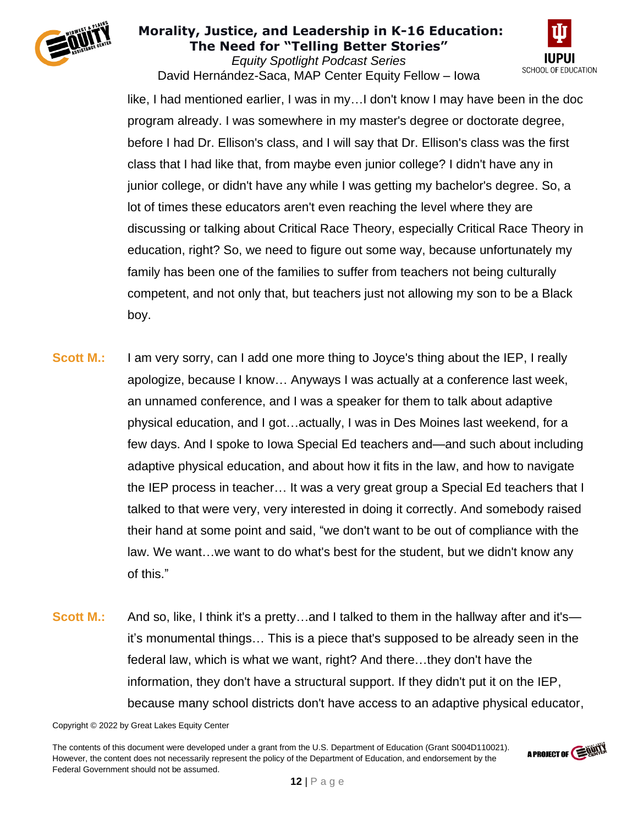

*Equity Spotlight Podcast Series* David Hernández-Saca, MAP Center Equity Fellow – Iowa



like, I had mentioned earlier, I was in my…I don't know I may have been in the doc program already. I was somewhere in my master's degree or doctorate degree, before I had Dr. Ellison's class, and I will say that Dr. Ellison's class was the first class that I had like that, from maybe even junior college? I didn't have any in junior college, or didn't have any while I was getting my bachelor's degree. So, a lot of times these educators aren't even reaching the level where they are discussing or talking about Critical Race Theory, especially Critical Race Theory in education, right? So, we need to figure out some way, because unfortunately my family has been one of the families to suffer from teachers not being culturally competent, and not only that, but teachers just not allowing my son to be a Black boy.

- **Scott M.:** I am very sorry, can I add one more thing to Joyce's thing about the IEP, I really apologize, because I know… Anyways I was actually at a conference last week, an unnamed conference, and I was a speaker for them to talk about adaptive physical education, and I got…actually, I was in Des Moines last weekend, for a few days. And I spoke to Iowa Special Ed teachers and—and such about including adaptive physical education, and about how it fits in the law, and how to navigate the IEP process in teacher… It was a very great group a Special Ed teachers that I talked to that were very, very interested in doing it correctly. And somebody raised their hand at some point and said, "we don't want to be out of compliance with the law. We want…we want to do what's best for the student, but we didn't know any of this."
- **Scott M.:** And so, like, I think it's a pretty...and I talked to them in the hallway after and it's it's monumental things… This is a piece that's supposed to be already seen in the federal law, which is what we want, right? And there…they don't have the information, they don't have a structural support. If they didn't put it on the IEP, because many school districts don't have access to an adaptive physical educator,

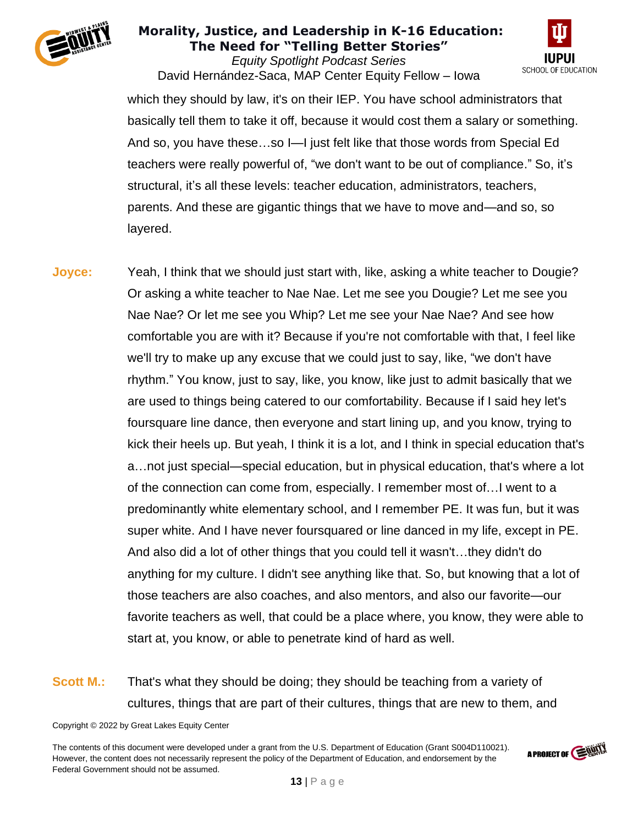

*Equity Spotlight Podcast Series* David Hernández-Saca, MAP Center Equity Fellow – Iowa



which they should by law, it's on their IEP. You have school administrators that basically tell them to take it off, because it would cost them a salary or something. And so, you have these…so I—I just felt like that those words from Special Ed teachers were really powerful of, "we don't want to be out of compliance." So, it's structural, it's all these levels: teacher education, administrators, teachers, parents. And these are gigantic things that we have to move and—and so, so layered.

**Joyce:** Yeah, I think that we should just start with, like, asking a white teacher to Dougie? Or asking a white teacher to Nae Nae. Let me see you Dougie? Let me see you Nae Nae? Or let me see you Whip? Let me see your Nae Nae? And see how comfortable you are with it? Because if you're not comfortable with that, I feel like we'll try to make up any excuse that we could just to say, like, "we don't have rhythm." You know, just to say, like, you know, like just to admit basically that we are used to things being catered to our comfortability. Because if I said hey let's foursquare line dance, then everyone and start lining up, and you know, trying to kick their heels up. But yeah, I think it is a lot, and I think in special education that's a…not just special—special education, but in physical education, that's where a lot of the connection can come from, especially. I remember most of…I went to a predominantly white elementary school, and I remember PE. It was fun, but it was super white. And I have never foursquared or line danced in my life, except in PE. And also did a lot of other things that you could tell it wasn't…they didn't do anything for my culture. I didn't see anything like that. So, but knowing that a lot of those teachers are also coaches, and also mentors, and also our favorite—our favorite teachers as well, that could be a place where, you know, they were able to start at, you know, or able to penetrate kind of hard as well.

# **Scott M.:** That's what they should be doing; they should be teaching from a variety of cultures, things that are part of their cultures, things that are new to them, and

Copyright © 2022 by Great Lakes Equity Center

The contents of this document were developed under a grant from the U.S. Department of Education (Grant S004D110021). However, the content does not necessarily represent the policy of the Department of Education, and endorsement by the Federal Government should not be assumed.

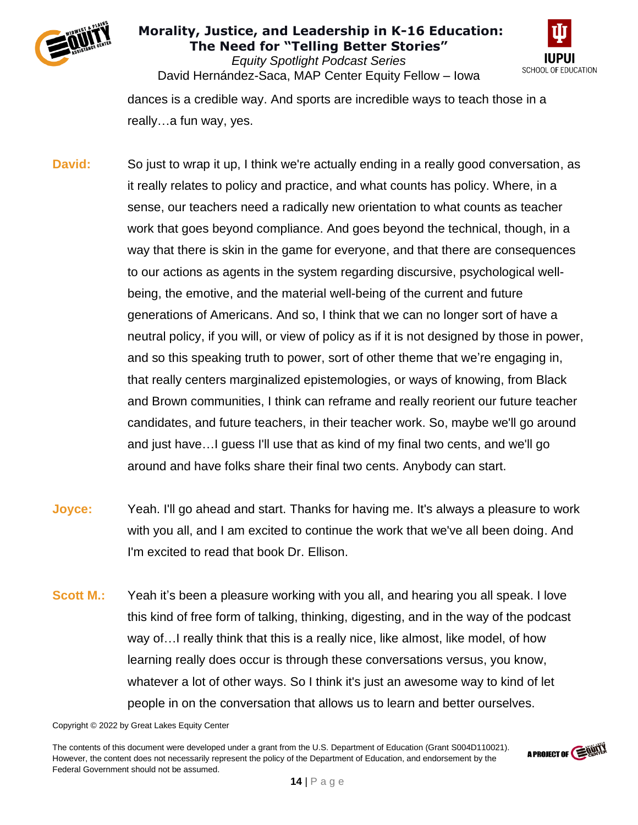

*Equity Spotlight Podcast Series* David Hernández-Saca, MAP Center Equity Fellow – Iowa



dances is a credible way. And sports are incredible ways to teach those in a really…a fun way, yes.

- **David:** So just to wrap it up, I think we're actually ending in a really good conversation, as it really relates to policy and practice, and what counts has policy. Where, in a sense, our teachers need a radically new orientation to what counts as teacher work that goes beyond compliance. And goes beyond the technical, though, in a way that there is skin in the game for everyone, and that there are consequences to our actions as agents in the system regarding discursive, psychological wellbeing, the emotive, and the material well-being of the current and future generations of Americans. And so, I think that we can no longer sort of have a neutral policy, if you will, or view of policy as if it is not designed by those in power, and so this speaking truth to power, sort of other theme that we're engaging in, that really centers marginalized epistemologies, or ways of knowing, from Black and Brown communities, I think can reframe and really reorient our future teacher candidates, and future teachers, in their teacher work. So, maybe we'll go around and just have…I guess I'll use that as kind of my final two cents, and we'll go around and have folks share their final two cents. Anybody can start.
- **Joyce:** Yeah. I'll go ahead and start. Thanks for having me. It's always a pleasure to work with you all, and I am excited to continue the work that we've all been doing. And I'm excited to read that book Dr. Ellison.
- **Scott M.:** Yeah it's been a pleasure working with you all, and hearing you all speak. I love this kind of free form of talking, thinking, digesting, and in the way of the podcast way of…I really think that this is a really nice, like almost, like model, of how learning really does occur is through these conversations versus, you know, whatever a lot of other ways. So I think it's just an awesome way to kind of let people in on the conversation that allows us to learn and better ourselves.

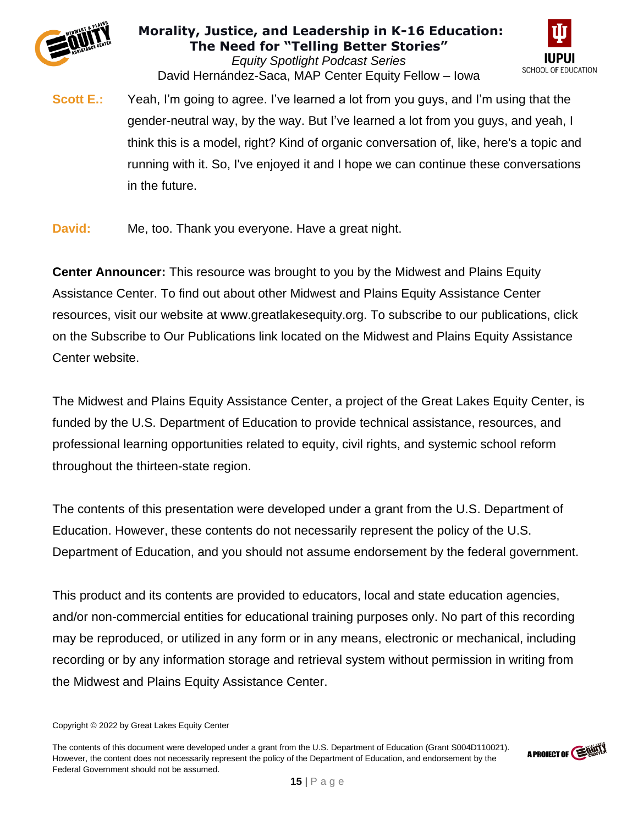

*Equity Spotlight Podcast Series* David Hernández-Saca, MAP Center Equity Fellow – Iowa



**Scott E.:** Yeah, I'm going to agree. I've learned a lot from you guys, and I'm using that the gender-neutral way, by the way. But I've learned a lot from you guys, and yeah, I think this is a model, right? Kind of organic conversation of, like, here's a topic and running with it. So, I've enjoyed it and I hope we can continue these conversations in the future.

**David:** Me, too. Thank you everyone. Have a great night.

**Center Announcer:** This resource was brought to you by the Midwest and Plains Equity Assistance Center. To find out about other Midwest and Plains Equity Assistance Center resources, visit our website at www.greatlakesequity.org. To subscribe to our publications, click on the Subscribe to Our Publications link located on the Midwest and Plains Equity Assistance Center website.

The Midwest and Plains Equity Assistance Center, a project of the Great Lakes Equity Center, is funded by the U.S. Department of Education to provide technical assistance, resources, and professional learning opportunities related to equity, civil rights, and systemic school reform throughout the thirteen-state region.

The contents of this presentation were developed under a grant from the U.S. Department of Education. However, these contents do not necessarily represent the policy of the U.S. Department of Education, and you should not assume endorsement by the federal government.

This product and its contents are provided to educators, local and state education agencies, and/or non-commercial entities for educational training purposes only. No part of this recording may be reproduced, or utilized in any form or in any means, electronic or mechanical, including recording or by any information storage and retrieval system without permission in writing from the Midwest and Plains Equity Assistance Center.



Copyright © 2022 by Great Lakes Equity Center